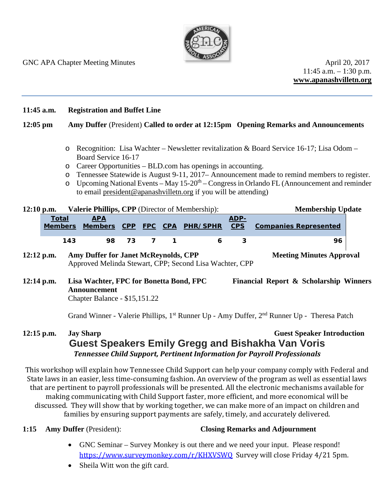

 $11:45$  a.m.  $-1:30$  p.m. **www.apanashvilletn.org**

### **11:45 a.m. Registration and Buffet Line**

## **12:05 pm Amy Duffer** (President) **Called to order at 12:15pm Opening Remarks and Announcements**

- o Recognition: Lisa Wachter Newsletter revitalization & Board Service 16-17; Lisa Odom Board Service 16-17
- o Career Opportunities BLD.com has openings in accounting.
- o Tennessee Statewide is August 9-11, 2017– Announcement made to remind members to register.
- o Upcoming National Events May 15-20th Congress in Orlando FL (Announcement and reminder to email [president@apanashvilletn.org](mailto:president@apanashvilletn.org) if you will be attending)

| $12:10$ p.m. | <b>Valerie Phillips, CPP</b> (Director of Membership): |            |       |  |     |                                  |      | <b>Membership Update</b>     |  |
|--------------|--------------------------------------------------------|------------|-------|--|-----|----------------------------------|------|------------------------------|--|
|              | Total                                                  | <b>APA</b> |       |  |     |                                  | ADP- |                              |  |
|              | <b>Members</b>                                         |            |       |  |     | Members CPP FPC CPA PHR/SPHR CPS |      | <b>Companies Represented</b> |  |
|              | 143                                                    |            | 98 73 |  | 7 1 |                                  |      | 96                           |  |
|              |                                                        |            |       |  |     |                                  |      |                              |  |

## **12:12** p.m. Amy Duffer for Janet McReynolds, CPP Meeting Minutes Approval Approved Melinda Stewart, CPP; Second Lisa Wachter, CPP

**12:14 p.m. Lisa Wachter, FPC for Bonetta Bond, FPC Financial Report & Scholarship Winners Announcement**  Chapter Balance - \$15,151.22

Grand Winner - Valerie Phillips, 1<sup>st</sup> Runner Up - Amy Duffer, 2<sup>nd</sup> Runner Up - Theresa Patch

# **12:15 p.m. Jay Sharp Guest Speaker Introduction Guest Speakers Emily Gregg and Bishakha Van Voris** *Tennessee Child Support, Pertinent Information for Payroll Professionals*

This workshop will explain how Tennessee Child Support can help your company comply with Federal and State laws in an easier, less time-consuming fashion. An overview of the program as well as essential laws that are pertinent to payroll professionals will be presented. All the electronic mechanisms available for making communicating with Child Support faster, more efficient, and more economical will be discussed. They will show that by working together, we can make more of an impact on children and families by ensuring support payments are safely, timely, and accurately delivered.

## **1:15 Amy Duffer** (President): **Closing Remarks and Adjournment**

- GNC Seminar Survey Monkey is out there and we need your input. Please respond! [https://www.surveymonkey.com/r/KHXVSWQ](https://urldefense.proofpoint.com/v2/url?u=https-3A__www.surveymonkey.com_r_KHXVSWQ&d=DwMFAg&c=fEu2bgw3pNXAPCclXAucaUr2IoGZ7yiSSHPvd02mOBQ&r=aX7tVQBRoROOOiy68J05aOWuZW62ggHh7BkQPUN4rKg&m=eAjog3F648QIFNtn6U0T69IwJsAJQ9p83qQgtdJUCa8&s=4J7Hybn5iMUB4AUH6Hd0lBEE71P9pbztzX1f9ClQkcE&e=) Survey will close Friday 4/21 5pm.
- Sheila Witt won the gift card.